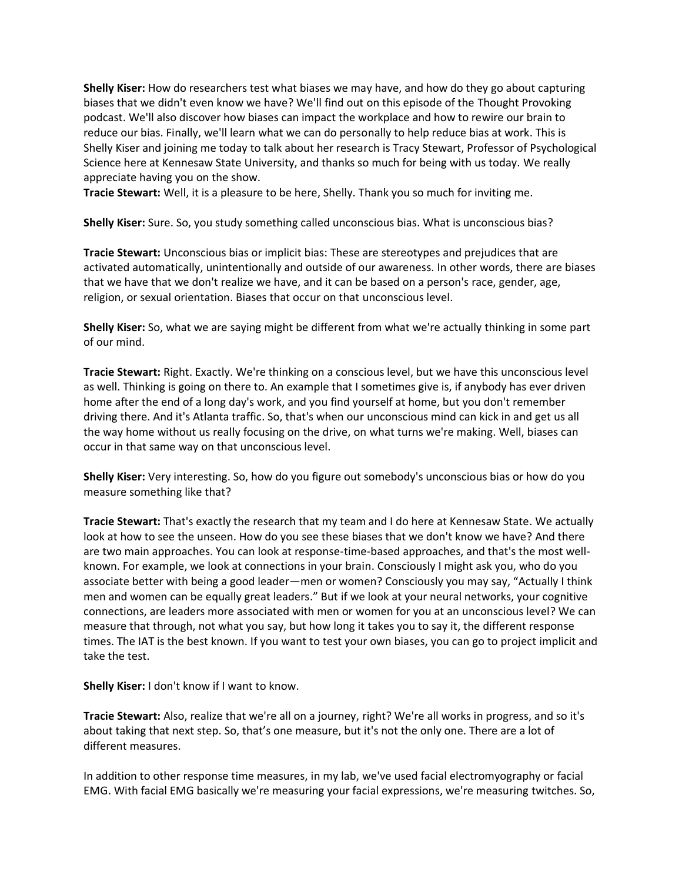**Shelly Kiser:** How do researchers test what biases we may have, and how do they go about capturing biases that we didn't even know we have? We'll find out on this episode of the Thought Provoking podcast. We'll also discover how biases can impact the workplace and how to rewire our brain to reduce our bias. Finally, we'll learn what we can do personally to help reduce bias at work. This is Shelly Kiser and joining me today to talk about her research is Tracy Stewart, Professor of Psychological Science here at Kennesaw State University, and thanks so much for being with us today. We really appreciate having you on the show.

**Tracie Stewart:** Well, it is a pleasure to be here, Shelly. Thank you so much for inviting me.

**Shelly Kiser:** Sure. So, you study something called unconscious bias. What is unconscious bias?

**Tracie Stewart:** Unconscious bias or implicit bias: These are stereotypes and prejudices that are activated automatically, unintentionally and outside of our awareness. In other words, there are biases that we have that we don't realize we have, and it can be based on a person's race, gender, age, religion, or sexual orientation. Biases that occur on that unconscious level.

**Shelly Kiser:** So, what we are saying might be different from what we're actually thinking in some part of our mind.

**Tracie Stewart:** Right. Exactly. We're thinking on a conscious level, but we have this unconscious level as well. Thinking is going on there to. An example that I sometimes give is, if anybody has ever driven home after the end of a long day's work, and you find yourself at home, but you don't remember driving there. And it's Atlanta traffic. So, that's when our unconscious mind can kick in and get us all the way home without us really focusing on the drive, on what turns we're making. Well, biases can occur in that same way on that unconscious level.

**Shelly Kiser:** Very interesting. So, how do you figure out somebody's unconscious bias or how do you measure something like that?

**Tracie Stewart:** That's exactly the research that my team and I do here at Kennesaw State. We actually look at how to see the unseen. How do you see these biases that we don't know we have? And there are two main approaches. You can look at response-time-based approaches, and that's the most wellknown. For example, we look at connections in your brain. Consciously I might ask you, who do you associate better with being a good leader—men or women? Consciously you may say, "Actually I think men and women can be equally great leaders." But if we look at your neural networks, your cognitive connections, are leaders more associated with men or women for you at an unconscious level? We can measure that through, not what you say, but how long it takes you to say it, the different response times. The IAT is the best known. If you want to test your own biases, you can go to project implicit and take the test.

**Shelly Kiser:** I don't know if I want to know.

**Tracie Stewart:** Also, realize that we're all on a journey, right? We're all works in progress, and so it's about taking that next step. So, that's one measure, but it's not the only one. There are a lot of different measures.

In addition to other response time measures, in my lab, we've used facial electromyography or facial EMG. With facial EMG basically we're measuring your facial expressions, we're measuring twitches. So,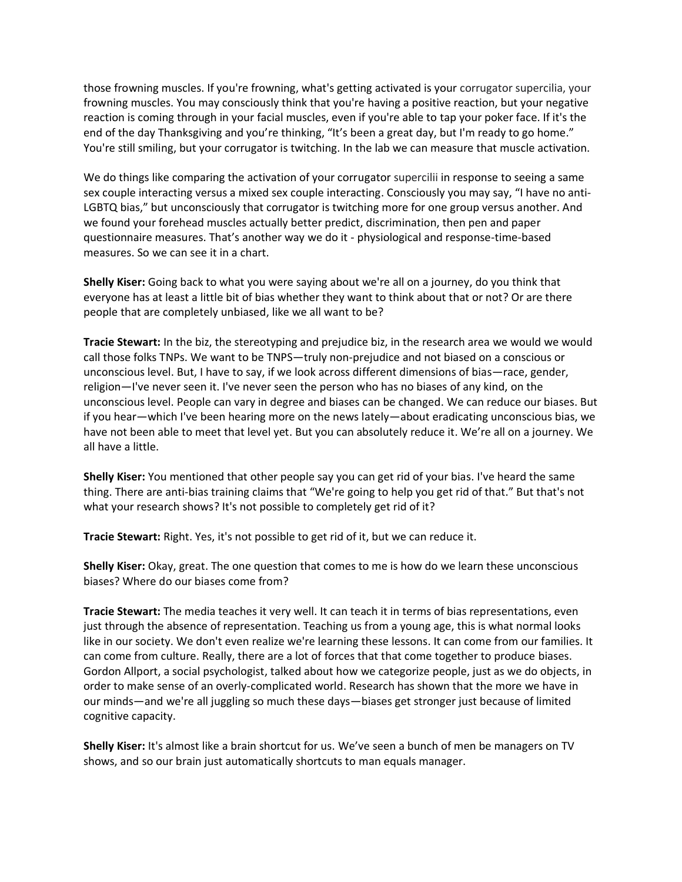those frowning muscles. If you're frowning, what's getting activated is your corrugator supercilia, your frowning muscles. You may consciously think that you're having a positive reaction, but your negative reaction is coming through in your facial muscles, even if you're able to tap your poker face. If it's the end of the day Thanksgiving and you're thinking, "It's been a great day, but I'm ready to go home." You're still smiling, but your corrugator is twitching. In the lab we can measure that muscle activation.

We do things like comparing the activation of your corrugator supercilii in response to seeing a same sex couple interacting versus a mixed sex couple interacting. Consciously you may say, "I have no anti-LGBTQ bias," but unconsciously that corrugator is twitching more for one group versus another. And we found your forehead muscles actually better predict, discrimination, then pen and paper questionnaire measures. That's another way we do it - physiological and response-time-based measures. So we can see it in a chart.

**Shelly Kiser:** Going back to what you were saying about we're all on a journey, do you think that everyone has at least a little bit of bias whether they want to think about that or not? Or are there people that are completely unbiased, like we all want to be?

**Tracie Stewart:** In the biz, the stereotyping and prejudice biz, in the research area we would we would call those folks TNPs. We want to be TNPS—truly non-prejudice and not biased on a conscious or unconscious level. But, I have to say, if we look across different dimensions of bias—race, gender, religion—I've never seen it. I've never seen the person who has no biases of any kind, on the unconscious level. People can vary in degree and biases can be changed. We can reduce our biases. But if you hear—which I've been hearing more on the news lately—about eradicating unconscious bias, we have not been able to meet that level yet. But you can absolutely reduce it. We're all on a journey. We all have a little.

**Shelly Kiser:** You mentioned that other people say you can get rid of your bias. I've heard the same thing. There are anti-bias training claims that "We're going to help you get rid of that." But that's not what your research shows? It's not possible to completely get rid of it?

**Tracie Stewart:** Right. Yes, it's not possible to get rid of it, but we can reduce it.

**Shelly Kiser:** Okay, great. The one question that comes to me is how do we learn these unconscious biases? Where do our biases come from?

**Tracie Stewart:** The media teaches it very well. It can teach it in terms of bias representations, even just through the absence of representation. Teaching us from a young age, this is what normal looks like in our society. We don't even realize we're learning these lessons. It can come from our families. It can come from culture. Really, there are a lot of forces that that come together to produce biases. Gordon Allport, a social psychologist, talked about how we categorize people, just as we do objects, in order to make sense of an overly-complicated world. Research has shown that the more we have in our minds—and we're all juggling so much these days—biases get stronger just because of limited cognitive capacity.

**Shelly Kiser:** It's almost like a brain shortcut for us. We've seen a bunch of men be managers on TV shows, and so our brain just automatically shortcuts to man equals manager.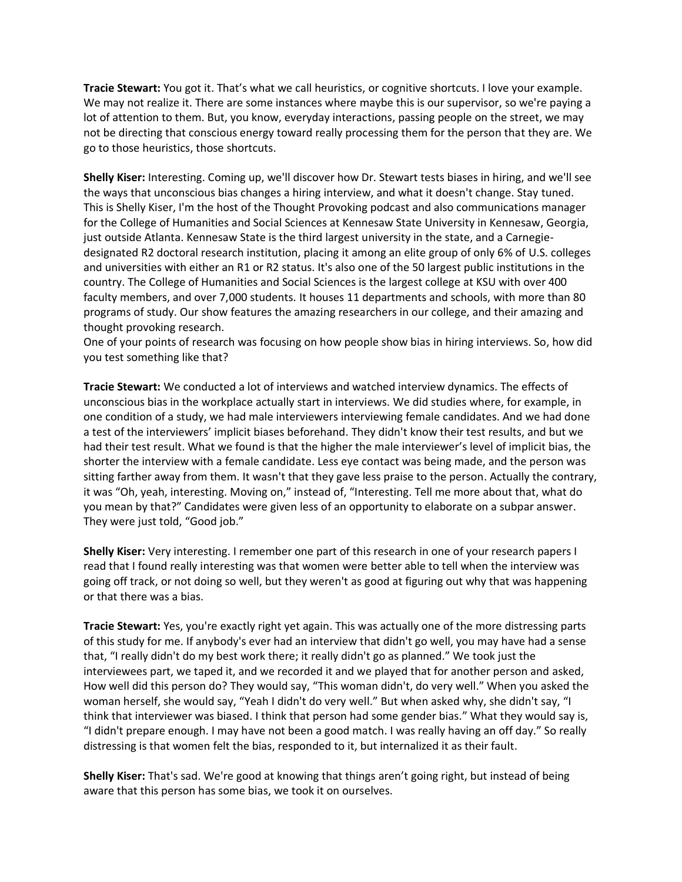**Tracie Stewart:** You got it. That's what we call heuristics, or cognitive shortcuts. I love your example. We may not realize it. There are some instances where maybe this is our supervisor, so we're paying a lot of attention to them. But, you know, everyday interactions, passing people on the street, we may not be directing that conscious energy toward really processing them for the person that they are. We go to those heuristics, those shortcuts.

**Shelly Kiser:** Interesting. Coming up, we'll discover how Dr. Stewart tests biases in hiring, and we'll see the ways that unconscious bias changes a hiring interview, and what it doesn't change. Stay tuned. This is Shelly Kiser, I'm the host of the Thought Provoking podcast and also communications manager for the College of Humanities and Social Sciences at Kennesaw State University in Kennesaw, Georgia, just outside Atlanta. Kennesaw State is the third largest university in the state, and a Carnegiedesignated R2 doctoral research institution, placing it among an elite group of only 6% of U.S. colleges and universities with either an R1 or R2 status. It's also one of the 50 largest public institutions in the country. The College of Humanities and Social Sciences is the largest college at KSU with over 400 faculty members, and over 7,000 students. It houses 11 departments and schools, with more than 80 programs of study. Our show features the amazing researchers in our college, and their amazing and thought provoking research.

One of your points of research was focusing on how people show bias in hiring interviews. So, how did you test something like that?

**Tracie Stewart:** We conducted a lot of interviews and watched interview dynamics. The effects of unconscious bias in the workplace actually start in interviews. We did studies where, for example, in one condition of a study, we had male interviewers interviewing female candidates. And we had done a test of the interviewers' implicit biases beforehand. They didn't know their test results, and but we had their test result. What we found is that the higher the male interviewer's level of implicit bias, the shorter the interview with a female candidate. Less eye contact was being made, and the person was sitting farther away from them. It wasn't that they gave less praise to the person. Actually the contrary, it was "Oh, yeah, interesting. Moving on," instead of, "Interesting. Tell me more about that, what do you mean by that?" Candidates were given less of an opportunity to elaborate on a subpar answer. They were just told, "Good job."

**Shelly Kiser:** Very interesting. I remember one part of this research in one of your research papers I read that I found really interesting was that women were better able to tell when the interview was going off track, or not doing so well, but they weren't as good at figuring out why that was happening or that there was a bias.

**Tracie Stewart:** Yes, you're exactly right yet again. This was actually one of the more distressing parts of this study for me. If anybody's ever had an interview that didn't go well, you may have had a sense that, "I really didn't do my best work there; it really didn't go as planned." We took just the interviewees part, we taped it, and we recorded it and we played that for another person and asked, How well did this person do? They would say, "This woman didn't, do very well." When you asked the woman herself, she would say, "Yeah I didn't do very well." But when asked why, she didn't say, "I think that interviewer was biased. I think that person had some gender bias." What they would say is, "I didn't prepare enough. I may have not been a good match. I was really having an off day." So really distressing is that women felt the bias, responded to it, but internalized it as their fault.

**Shelly Kiser:** That's sad. We're good at knowing that things aren't going right, but instead of being aware that this person has some bias, we took it on ourselves.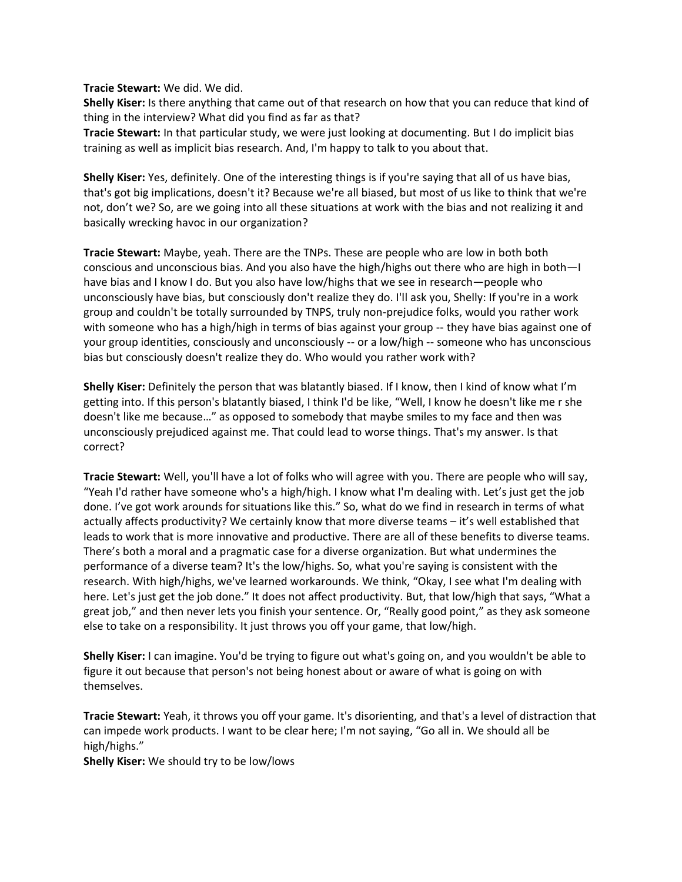**Tracie Stewart:** We did. We did.

**Shelly Kiser:** Is there anything that came out of that research on how that you can reduce that kind of thing in the interview? What did you find as far as that?

**Tracie Stewart:** In that particular study, we were just looking at documenting. But I do implicit bias training as well as implicit bias research. And, I'm happy to talk to you about that.

**Shelly Kiser:** Yes, definitely. One of the interesting things is if you're saying that all of us have bias, that's got big implications, doesn't it? Because we're all biased, but most of us like to think that we're not, don't we? So, are we going into all these situations at work with the bias and not realizing it and basically wrecking havoc in our organization?

**Tracie Stewart:** Maybe, yeah. There are the TNPs. These are people who are low in both both conscious and unconscious bias. And you also have the high/highs out there who are high in both—I have bias and I know I do. But you also have low/highs that we see in research—people who unconsciously have bias, but consciously don't realize they do. I'll ask you, Shelly: If you're in a work group and couldn't be totally surrounded by TNPS, truly non-prejudice folks, would you rather work with someone who has a high/high in terms of bias against your group -- they have bias against one of your group identities, consciously and unconsciously -- or a low/high -- someone who has unconscious bias but consciously doesn't realize they do. Who would you rather work with?

**Shelly Kiser:** Definitely the person that was blatantly biased. If I know, then I kind of know what I'm getting into. If this person's blatantly biased, I think I'd be like, "Well, I know he doesn't like me r she doesn't like me because…" as opposed to somebody that maybe smiles to my face and then was unconsciously prejudiced against me. That could lead to worse things. That's my answer. Is that correct?

**Tracie Stewart:** Well, you'll have a lot of folks who will agree with you. There are people who will say, "Yeah I'd rather have someone who's a high/high. I know what I'm dealing with. Let's just get the job done. I've got work arounds for situations like this." So, what do we find in research in terms of what actually affects productivity? We certainly know that more diverse teams – it's well established that leads to work that is more innovative and productive. There are all of these benefits to diverse teams. There's both a moral and a pragmatic case for a diverse organization. But what undermines the performance of a diverse team? It's the low/highs. So, what you're saying is consistent with the research. With high/highs, we've learned workarounds. We think, "Okay, I see what I'm dealing with here. Let's just get the job done." It does not affect productivity. But, that low/high that says, "What a great job," and then never lets you finish your sentence. Or, "Really good point," as they ask someone else to take on a responsibility. It just throws you off your game, that low/high.

**Shelly Kiser:** I can imagine. You'd be trying to figure out what's going on, and you wouldn't be able to figure it out because that person's not being honest about or aware of what is going on with themselves.

**Tracie Stewart:** Yeah, it throws you off your game. It's disorienting, and that's a level of distraction that can impede work products. I want to be clear here; I'm not saying, "Go all in. We should all be high/highs."

**Shelly Kiser:** We should try to be low/lows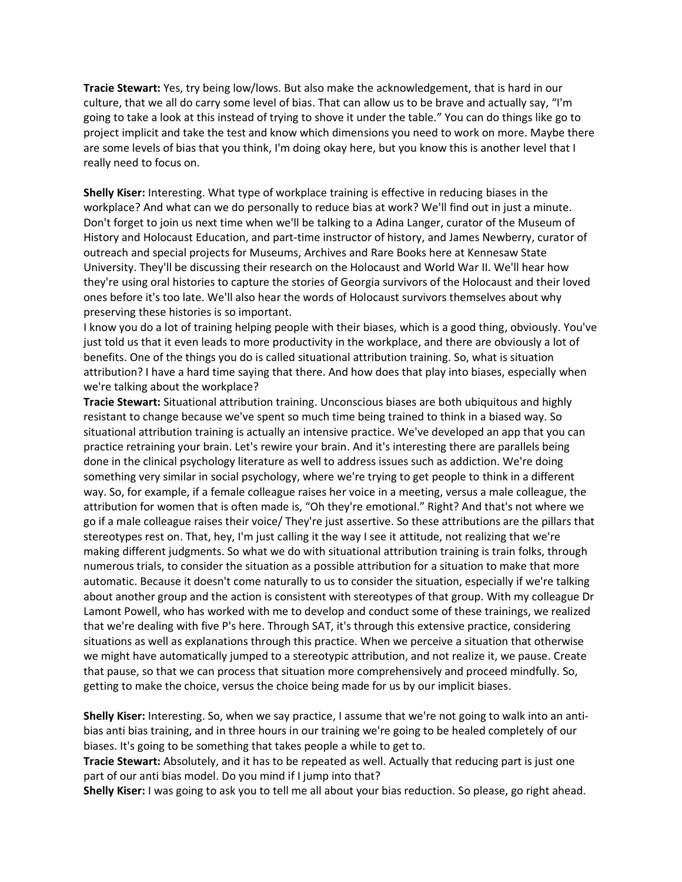**Tracie Stewart:** Yes, try being low/lows. But also make the acknowledgement, that is hard in our culture, that we all do carry some level of bias. That can allow us to be brave and actually say, "I'm going to take a look at this instead of trying to shove it under the table." You can do things like go to project implicit and take the test and know which dimensions you need to work on more. Maybe there are some levels of bias that you think, I'm doing okay here, but you know this is another level that I really need to focus on.

**Shelly Kiser:** Interesting. What type of workplace training is effective in reducing biases in the workplace? And what can we do personally to reduce bias at work? We'll find out in just a minute. Don't forget to join us next time when we'll be talking to a Adina Langer, curator of the Museum of History and Holocaust Education, and part-time instructor of history, and James Newberry, curator of outreach and special projects for Museums, Archives and Rare Books here at Kennesaw State University. They'll be discussing their research on the Holocaust and World War II. We'll hear how they're using oral histories to capture the stories of Georgia survivors of the Holocaust and their loved ones before it's too late. We'll also hear the words of Holocaust survivors themselves about why preserving these histories is so important.

I know you do a lot of training helping people with their biases, which is a good thing, obviously. You've just told us that it even leads to more productivity in the workplace, and there are obviously a lot of benefits. One of the things you do is called situational attribution training. So, what is situation attribution? I have a hard time saying that there. And how does that play into biases, especially when we're talking about the workplace?

**Tracie Stewart:** Situational attribution training. Unconscious biases are both ubiquitous and highly resistant to change because we've spent so much time being trained to think in a biased way. So situational attribution training is actually an intensive practice. We've developed an app that you can practice retraining your brain. Let's rewire your brain. And it's interesting there are parallels being done in the clinical psychology literature as well to address issues such as addiction. We're doing something very similar in social psychology, where we're trying to get people to think in a different way. So, for example, if a female colleague raises her voice in a meeting, versus a male colleague, the attribution for women that is often made is, "Oh they're emotional." Right? And that's not where we go if a male colleague raises their voice/ They're just assertive. So these attributions are the pillars that stereotypes rest on. That, hey, I'm just calling it the way I see it attitude, not realizing that we're making different judgments. So what we do with situational attribution training is train folks, through numerous trials, to consider the situation as a possible attribution for a situation to make that more automatic. Because it doesn't come naturally to us to consider the situation, especially if we're talking about another group and the action is consistent with stereotypes of that group. With my colleague Dr Lamont Powell, who has worked with me to develop and conduct some of these trainings, we realized that we're dealing with five P's here. Through SAT, it's through this extensive practice, considering situations as well as explanations through this practice. When we perceive a situation that otherwise we might have automatically jumped to a stereotypic attribution, and not realize it, we pause. Create that pause, so that we can process that situation more comprehensively and proceed mindfully. So, getting to make the choice, versus the choice being made for us by our implicit biases.

**Shelly Kiser:** Interesting. So, when we say practice, I assume that we're not going to walk into an antibias anti bias training, and in three hours in our training we're going to be healed completely of our biases. It's going to be something that takes people a while to get to.

**Tracie Stewart:** Absolutely, and it has to be repeated as well. Actually that reducing part is just one part of our anti bias model. Do you mind if I jump into that?

**Shelly Kiser:** I was going to ask you to tell me all about your bias reduction. So please, go right ahead.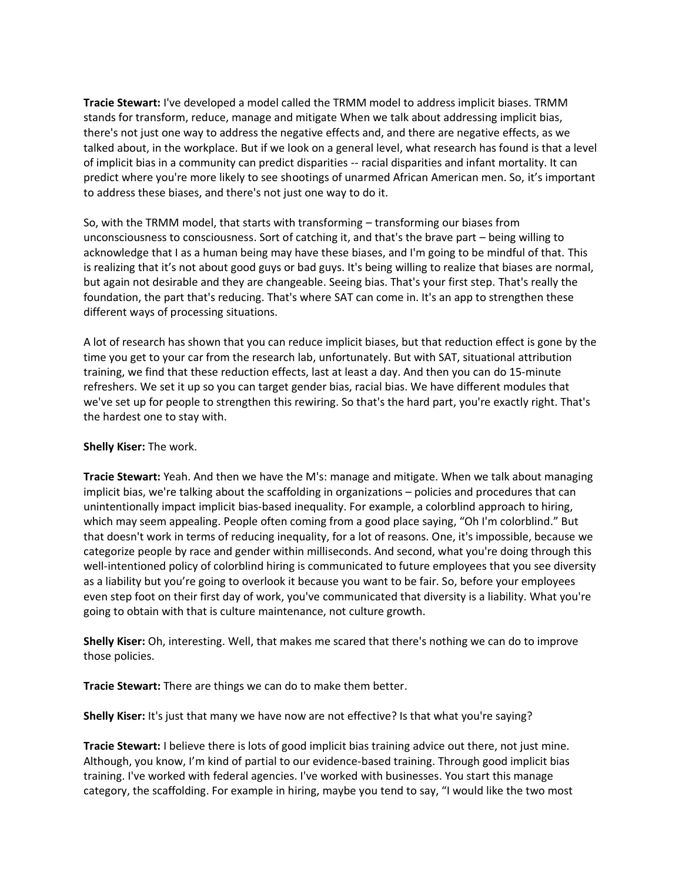**Tracie Stewart:** I've developed a model called the TRMM model to address implicit biases. TRMM stands for transform, reduce, manage and mitigate When we talk about addressing implicit bias, there's not just one way to address the negative effects and, and there are negative effects, as we talked about, in the workplace. But if we look on a general level, what research has found is that a level of implicit bias in a community can predict disparities -- racial disparities and infant mortality. It can predict where you're more likely to see shootings of unarmed African American men. So, it's important to address these biases, and there's not just one way to do it.

So, with the TRMM model, that starts with transforming – transforming our biases from unconsciousness to consciousness. Sort of catching it, and that's the brave part – being willing to acknowledge that I as a human being may have these biases, and I'm going to be mindful of that. This is realizing that it's not about good guys or bad guys. It's being willing to realize that biases are normal, but again not desirable and they are changeable. Seeing bias. That's your first step. That's really the foundation, the part that's reducing. That's where SAT can come in. It's an app to strengthen these different ways of processing situations.

A lot of research has shown that you can reduce implicit biases, but that reduction effect is gone by the time you get to your car from the research lab, unfortunately. But with SAT, situational attribution training, we find that these reduction effects, last at least a day. And then you can do 15-minute refreshers. We set it up so you can target gender bias, racial bias. We have different modules that we've set up for people to strengthen this rewiring. So that's the hard part, you're exactly right. That's the hardest one to stay with.

## **Shelly Kiser:** The work.

**Tracie Stewart:** Yeah. And then we have the M's: manage and mitigate. When we talk about managing implicit bias, we're talking about the scaffolding in organizations – policies and procedures that can unintentionally impact implicit bias-based inequality. For example, a colorblind approach to hiring, which may seem appealing. People often coming from a good place saying, "Oh I'm colorblind." But that doesn't work in terms of reducing inequality, for a lot of reasons. One, it's impossible, because we categorize people by race and gender within milliseconds. And second, what you're doing through this well-intentioned policy of colorblind hiring is communicated to future employees that you see diversity as a liability but you're going to overlook it because you want to be fair. So, before your employees even step foot on their first day of work, you've communicated that diversity is a liability. What you're going to obtain with that is culture maintenance, not culture growth.

**Shelly Kiser:** Oh, interesting. Well, that makes me scared that there's nothing we can do to improve those policies.

**Tracie Stewart:** There are things we can do to make them better.

**Shelly Kiser:** It's just that many we have now are not effective? Is that what you're saying?

**Tracie Stewart:** I believe there is lots of good implicit bias training advice out there, not just mine. Although, you know, I'm kind of partial to our evidence-based training. Through good implicit bias training. I've worked with federal agencies. I've worked with businesses. You start this manage category, the scaffolding. For example in hiring, maybe you tend to say, "I would like the two most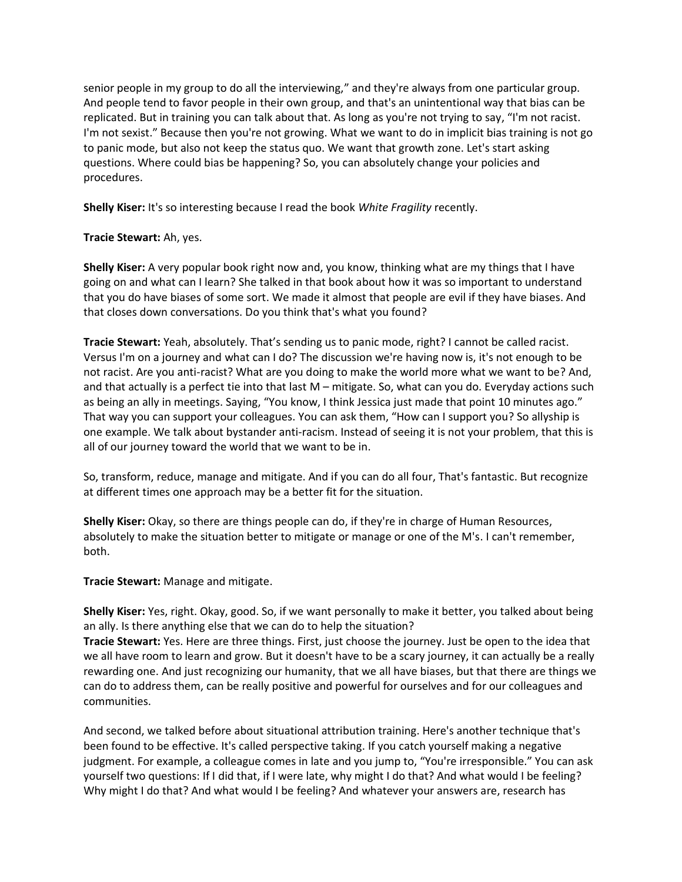senior people in my group to do all the interviewing," and they're always from one particular group. And people tend to favor people in their own group, and that's an unintentional way that bias can be replicated. But in training you can talk about that. As long as you're not trying to say, "I'm not racist. I'm not sexist." Because then you're not growing. What we want to do in implicit bias training is not go to panic mode, but also not keep the status quo. We want that growth zone. Let's start asking questions. Where could bias be happening? So, you can absolutely change your policies and procedures.

**Shelly Kiser:** It's so interesting because I read the book *White Fragility* recently.

## **Tracie Stewart:** Ah, yes.

**Shelly Kiser:** A very popular book right now and, you know, thinking what are my things that I have going on and what can I learn? She talked in that book about how it was so important to understand that you do have biases of some sort. We made it almost that people are evil if they have biases. And that closes down conversations. Do you think that's what you found?

**Tracie Stewart:** Yeah, absolutely. That's sending us to panic mode, right? I cannot be called racist. Versus I'm on a journey and what can I do? The discussion we're having now is, it's not enough to be not racist. Are you anti-racist? What are you doing to make the world more what we want to be? And, and that actually is a perfect tie into that last M – mitigate. So, what can you do. Everyday actions such as being an ally in meetings. Saying, "You know, I think Jessica just made that point 10 minutes ago." That way you can support your colleagues. You can ask them, "How can I support you? So allyship is one example. We talk about bystander anti-racism. Instead of seeing it is not your problem, that this is all of our journey toward the world that we want to be in.

So, transform, reduce, manage and mitigate. And if you can do all four, That's fantastic. But recognize at different times one approach may be a better fit for the situation.

**Shelly Kiser:** Okay, so there are things people can do, if they're in charge of Human Resources, absolutely to make the situation better to mitigate or manage or one of the M's. I can't remember, both.

**Tracie Stewart:** Manage and mitigate.

**Shelly Kiser:** Yes, right. Okay, good. So, if we want personally to make it better, you talked about being an ally. Is there anything else that we can do to help the situation?

**Tracie Stewart:** Yes. Here are three things. First, just choose the journey. Just be open to the idea that we all have room to learn and grow. But it doesn't have to be a scary journey, it can actually be a really rewarding one. And just recognizing our humanity, that we all have biases, but that there are things we can do to address them, can be really positive and powerful for ourselves and for our colleagues and communities.

And second, we talked before about situational attribution training. Here's another technique that's been found to be effective. It's called perspective taking. If you catch yourself making a negative judgment. For example, a colleague comes in late and you jump to, "You're irresponsible." You can ask yourself two questions: If I did that, if I were late, why might I do that? And what would I be feeling? Why might I do that? And what would I be feeling? And whatever your answers are, research has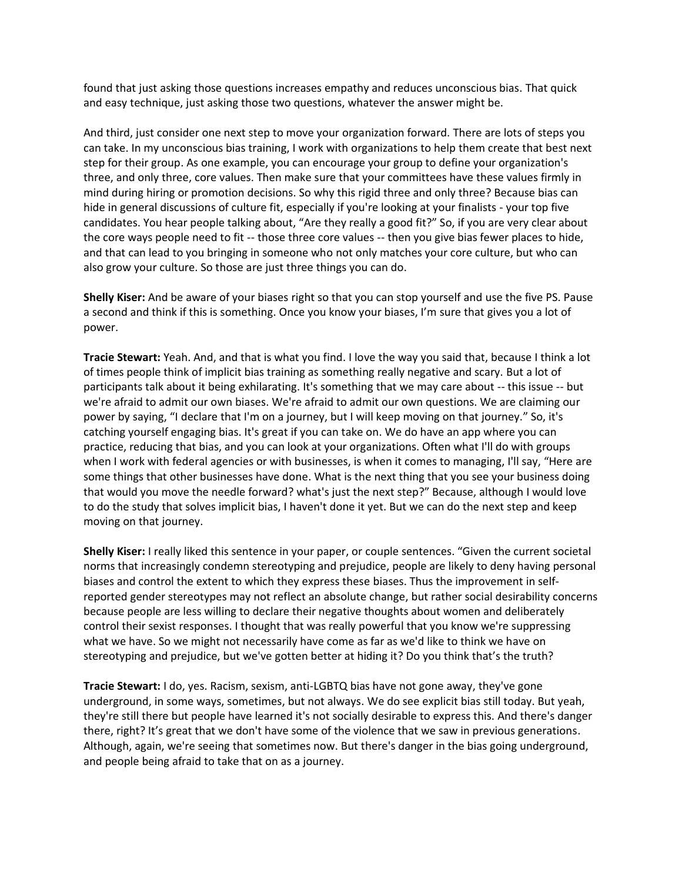found that just asking those questions increases empathy and reduces unconscious bias. That quick and easy technique, just asking those two questions, whatever the answer might be.

And third, just consider one next step to move your organization forward. There are lots of steps you can take. In my unconscious bias training, I work with organizations to help them create that best next step for their group. As one example, you can encourage your group to define your organization's three, and only three, core values. Then make sure that your committees have these values firmly in mind during hiring or promotion decisions. So why this rigid three and only three? Because bias can hide in general discussions of culture fit, especially if you're looking at your finalists - your top five candidates. You hear people talking about, "Are they really a good fit?" So, if you are very clear about the core ways people need to fit -- those three core values -- then you give bias fewer places to hide, and that can lead to you bringing in someone who not only matches your core culture, but who can also grow your culture. So those are just three things you can do.

**Shelly Kiser:** And be aware of your biases right so that you can stop yourself and use the five PS. Pause a second and think if this is something. Once you know your biases, I'm sure that gives you a lot of power.

**Tracie Stewart:** Yeah. And, and that is what you find. I love the way you said that, because I think a lot of times people think of implicit bias training as something really negative and scary. But a lot of participants talk about it being exhilarating. It's something that we may care about -- this issue -- but we're afraid to admit our own biases. We're afraid to admit our own questions. We are claiming our power by saying, "I declare that I'm on a journey, but I will keep moving on that journey." So, it's catching yourself engaging bias. It's great if you can take on. We do have an app where you can practice, reducing that bias, and you can look at your organizations. Often what I'll do with groups when I work with federal agencies or with businesses, is when it comes to managing, I'll say, "Here are some things that other businesses have done. What is the next thing that you see your business doing that would you move the needle forward? what's just the next step?" Because, although I would love to do the study that solves implicit bias, I haven't done it yet. But we can do the next step and keep moving on that journey.

**Shelly Kiser:** I really liked this sentence in your paper, or couple sentences. "Given the current societal norms that increasingly condemn stereotyping and prejudice, people are likely to deny having personal biases and control the extent to which they express these biases. Thus the improvement in selfreported gender stereotypes may not reflect an absolute change, but rather social desirability concerns because people are less willing to declare their negative thoughts about women and deliberately control their sexist responses. I thought that was really powerful that you know we're suppressing what we have. So we might not necessarily have come as far as we'd like to think we have on stereotyping and prejudice, but we've gotten better at hiding it? Do you think that's the truth?

**Tracie Stewart:** I do, yes. Racism, sexism, anti-LGBTQ bias have not gone away, they've gone underground, in some ways, sometimes, but not always. We do see explicit bias still today. But yeah, they're still there but people have learned it's not socially desirable to express this. And there's danger there, right? It's great that we don't have some of the violence that we saw in previous generations. Although, again, we're seeing that sometimes now. But there's danger in the bias going underground, and people being afraid to take that on as a journey.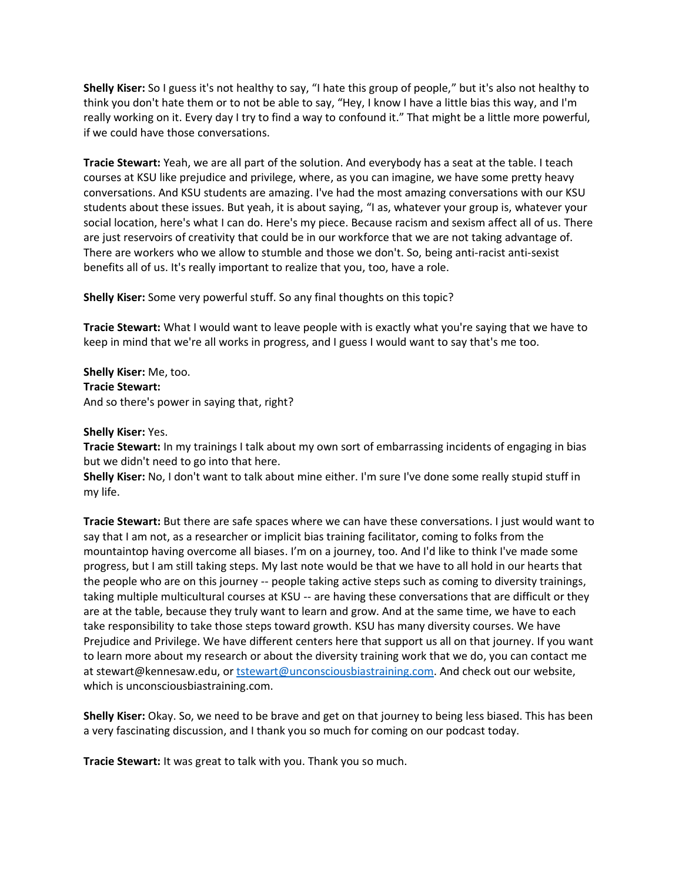**Shelly Kiser:** So I guess it's not healthy to say, "I hate this group of people," but it's also not healthy to think you don't hate them or to not be able to say, "Hey, I know I have a little bias this way, and I'm really working on it. Every day I try to find a way to confound it." That might be a little more powerful, if we could have those conversations.

**Tracie Stewart:** Yeah, we are all part of the solution. And everybody has a seat at the table. I teach courses at KSU like prejudice and privilege, where, as you can imagine, we have some pretty heavy conversations. And KSU students are amazing. I've had the most amazing conversations with our KSU students about these issues. But yeah, it is about saying, "I as, whatever your group is, whatever your social location, here's what I can do. Here's my piece. Because racism and sexism affect all of us. There are just reservoirs of creativity that could be in our workforce that we are not taking advantage of. There are workers who we allow to stumble and those we don't. So, being anti-racist anti-sexist benefits all of us. It's really important to realize that you, too, have a role.

**Shelly Kiser:** Some very powerful stuff. So any final thoughts on this topic?

**Tracie Stewart:** What I would want to leave people with is exactly what you're saying that we have to keep in mind that we're all works in progress, and I guess I would want to say that's me too.

**Shelly Kiser:** Me, too. **Tracie Stewart:** And so there's power in saying that, right?

**Shelly Kiser:** Yes.

**Tracie Stewart:** In my trainings I talk about my own sort of embarrassing incidents of engaging in bias but we didn't need to go into that here.

**Shelly Kiser:** No, I don't want to talk about mine either. I'm sure I've done some really stupid stuff in my life.

**Tracie Stewart:** But there are safe spaces where we can have these conversations. I just would want to say that I am not, as a researcher or implicit bias training facilitator, coming to folks from the mountaintop having overcome all biases. I'm on a journey, too. And I'd like to think I've made some progress, but I am still taking steps. My last note would be that we have to all hold in our hearts that the people who are on this journey -- people taking active steps such as coming to diversity trainings, taking multiple multicultural courses at KSU -- are having these conversations that are difficult or they are at the table, because they truly want to learn and grow. And at the same time, we have to each take responsibility to take those steps toward growth. KSU has many diversity courses. We have Prejudice and Privilege. We have different centers here that support us all on that journey. If you want to learn more about my research or about the diversity training work that we do, you can contact me at stewart@kennesaw.edu, or [tstewart@unconsciousbiastraining.com.](mailto:tstewart@unconsciousbiastraining.com) And check out our website, which is unconsciousbiastraining.com.

**Shelly Kiser:** Okay. So, we need to be brave and get on that journey to being less biased. This has been a very fascinating discussion, and I thank you so much for coming on our podcast today.

**Tracie Stewart:** It was great to talk with you. Thank you so much.